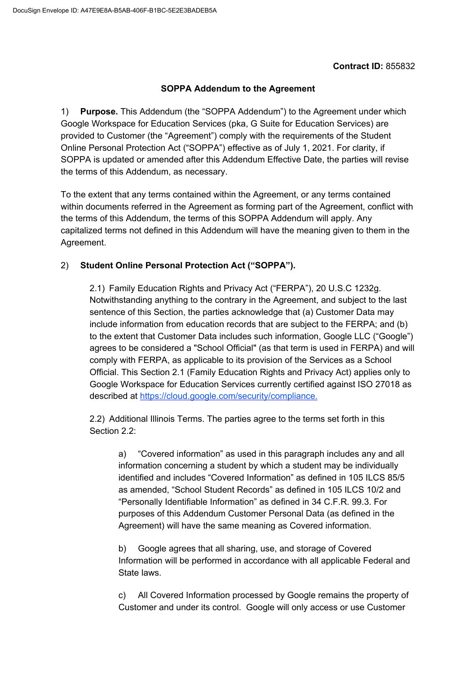## **Contract ID:** 855832

## **SOPPA Addendum to the Agreement**

1) **Purpose.** This Addendum (the "SOPPA Addendum") to the Agreement under which Google Workspace for Education Services (pka, G Suite for Education Services) are provided to Customer (the "Agreement") comply with the requirements of the Student Online Personal Protection Act ("SOPPA") effective as of July 1, 2021. For clarity, if SOPPA is updated or amended after this Addendum Effective Date, the parties will revise the terms of this Addendum, as necessary.

To the extent that any terms contained within the Agreement, or any terms contained within documents referred in the Agreement as forming part of the Agreement, conflict with the terms of this Addendum, the terms of this SOPPA Addendum will apply. Any capitalized terms not defined in this Addendum will have the meaning given to them in the Agreement.

## 2) **Student Online Personal Protection Act ("SOPPA").**

2.1) Family Education Rights and Privacy Act ("FERPA"), 20 U.S.C 1232g. Notwithstanding anything to the contrary in the Agreement, and subject to the last sentence of this Section, the parties acknowledge that (a) Customer Data may include information from education records that are subject to the FERPA; and (b) to the extent that Customer Data includes such information, Google LLC ("Google") agrees to be considered a "School Official" (as that term is used in FERPA) and will comply with FERPA, as applicable to its provision of the Services as a School Official. This Section 2.1 (Family Education Rights and Privacy Act) applies only to Google Workspace for Education Services currently certified against ISO 27018 as described at [https://cloud.google.com/security/compliance.](https://cloud.google.com/security/compliance)

2.2) Additional Illinois Terms. The parties agree to the terms set forth in this Section 2.2:

a) "Covered information" as used in this paragraph includes any and all information concerning a student by which a student may be individually identified and includes "Covered Information" as defined in 105 ILCS 85/5 as amended, "School Student Records" as defined in 105 ILCS 10/2 and "Personally Identifiable Information" as defined in 34 C.F.R. 99.3. For purposes of this Addendum Customer Personal Data (as defined in the Agreement) will have the same meaning as Covered information.

b) Google agrees that all sharing, use, and storage of Covered Information will be performed in accordance with all applicable Federal and State laws.

c) All Covered Information processed by Google remains the property of Customer and under its control. Google will only access or use Customer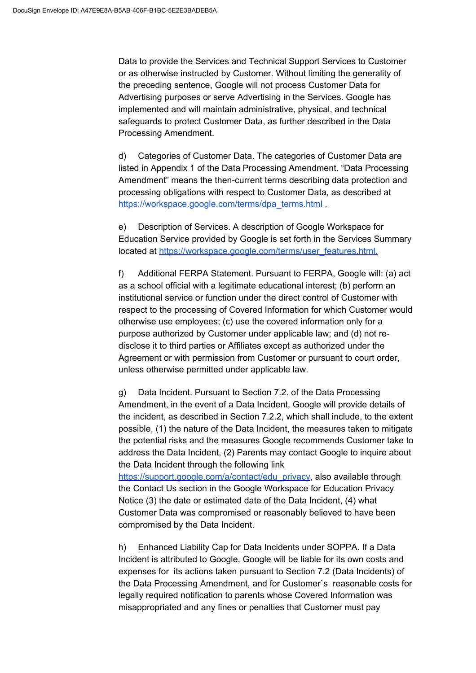Data to provide the Services and Technical Support Services to Customer or as otherwise instructed by Customer. Without limiting the generality of the preceding sentence, Google will not process Customer Data for Advertising purposes or serve Advertising in the Services. Google has implemented and will maintain administrative, physical, and technical safeguards to protect Customer Data, as further described in the Data Processing Amendment.

d) Categories of Customer Data. The categories of Customer Data are listed in Appendix 1 of the Data Processing Amendment. "Data Processing Amendment" means the then-current terms describing data protection and processing obligations with respect to Customer Data, as described at [https://workspace.google.com/terms/dpa\\_terms.html](https://workspace.google.com/terms/dpa_terms.html) [.](https://gsuite.google.com/terms/dpa_terms.html)

e) Description of Services. A description of Google Workspace for Education Service provided by Google is set forth in the Services Summary located at [https://workspace.google.com/terms/user\\_features.html.](https://workspace.google.com/terms/user_features.html)

f) Additional FERPA Statement. Pursuant to FERPA, Google will: (a) act as a school official with a legitimate educational interest; (b) perform an institutional service or function under the direct control of Customer with respect to the processing of Covered Information for which Customer would otherwise use employees; (c) use the covered information only for a purpose authorized by Customer under applicable law; and (d) not redisclose it to third parties or Affiliates except as authorized under the Agreement or with permission from Customer or pursuant to court order, unless otherwise permitted under applicable law.

g) Data Incident. Pursuant to Section 7.2. of the Data Processing Amendment, in the event of a Data Incident, Google will provide details of the incident, as described in Section 7.2.2, which shall include, to the extent possible, (1) the nature of the Data Incident, the measures taken to mitigate the potential risks and the measures Google recommends Customer take to address the Data Incident, (2) Parents may contact Google to inquire about the Data Incident through the following link

[https://support.google.com/a/contact/edu\\_privacy,](https://support.google.com/a/contact/edu_privacy) also available through the Contact Us section in the Google Workspace for Education Privacy Notice (3) the date or estimated date of the Data Incident, (4) what Customer Data was compromised or reasonably believed to have been compromised by the Data Incident.

h) Enhanced Liability Cap for Data Incidents under SOPPA. If a Data Incident is attributed to Google, Google will be liable for its own costs and expenses for its actions taken pursuant to Section 7.2 (Data Incidents) of the Data Processing Amendment, and for Customer`s reasonable costs for legally required notification to parents whose Covered Information was misappropriated and any fines or penalties that Customer must pay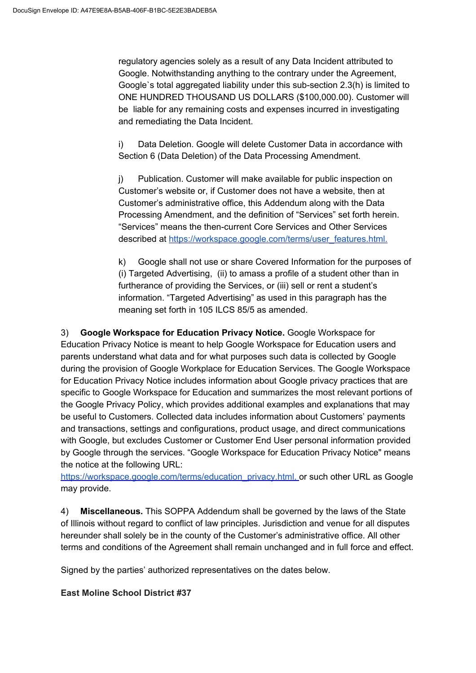regulatory agencies solely as a result of any Data Incident attributed to Google. Notwithstanding anything to the contrary under the Agreement, Google`s total aggregated liability under this sub-section 2.3(h) is limited to ONE HUNDRED THOUSAND US DOLLARS (\$100,000.00). Customer will be liable for any remaining costs and expenses incurred in investigating and remediating the Data Incident.

i) Data Deletion. Google will delete Customer Data in accordance with Section 6 (Data Deletion) of the Data Processing Amendment.

j) Publication. Customer will make available for public inspection on Customer's website or, if Customer does not have a website, then at Customer's administrative office, this Addendum along with the Data Processing Amendment, and the definition of "Services" set forth herein. "Services" means the then-current Core Services and Other Services described at [https://workspace.google.com/terms/user\\_features.html.](https://workspace.google.com/terms/user_features.html)

k) Google shall not use or share Covered Information for the purposes of (i) Targeted Advertising, (ii) to amass a profile of a student other than in furtherance of providing the Services, or (iii) sell or rent a student's information. "Targeted Advertising" as used in this paragraph has the meaning set forth in 105 ILCS 85/5 as amended.

3) **Google Workspace for Education Privacy Notice.** Google Workspace for Education Privacy Notice is meant to help Google Workspace for Education users and parents understand what data and for what purposes such data is collected by Google during the provision of Google Workplace for Education Services. The Google Workspace for Education Privacy Notice includes information about Google privacy practices that are specific to Google Workspace for Education and summarizes the most relevant portions of the Google Privacy Policy, which provides additional examples and explanations that may be useful to Customers. Collected data includes information about Customers' payments and transactions, settings and configurations, product usage, and direct communications with Google, but excludes Customer or Customer End User personal information provided by Google through the services. "Google Workspace for Education Privacy Notice" means the notice at the following URL:

[https://workspace.google.com/terms/education\\_privacy.html](https://workspace.google.com/terms/education_privacy.html)[,](https://workspace.google.com/terms/education_privacy.htmll) or such other URL as Google may provide.

4) **Miscellaneous.** This SOPPA Addendum shall be governed by the laws of the State of Illinois without regard to conflict of law principles. Jurisdiction and venue for all disputes hereunder shall solely be in the county of the Customer's administrative office. All other terms and conditions of the Agreement shall remain unchanged and in full force and effect.

Signed by the parties' authorized representatives on the dates below.

## **East Moline School District #37**